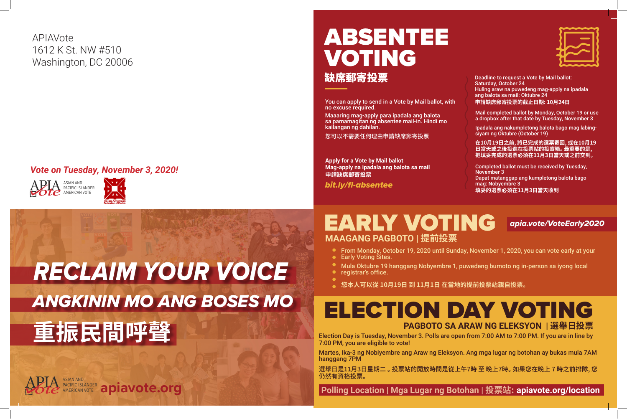

 **Polling Location | Mga Lugar ng Botohan | 投票站: apiavote.org/location**





You can apply to send in a Vote by Mail ballot, with no excuse required.

# ABSENTEE VOTING 缺席郵寄投票

Maaaring mag-apply para ipadala ang balota sa pamamagitan ng absentee mail-in. Hindi mo kailangan ng dahilan.

您可以不需要任何理由申請缺席郵寄投票

**Apply for a Vote by Mail ballot Mag-apply na ipadala ang balota sa mail 申請缺席郵寄投票**

Deadline to request a Vote by Mail ballot: Saturday, October 24 Huling araw na puwedeng mag-apply na ipadala ang balota sa mail: Oktubre 24 **申請缺席郵寄投票的截止日期: 10月24日**

Mail completed ballot by Monday, October 19 or use a dropbox after that date by Tuesday, November 3

## EARLY VOTING *apia.vote/VoteEarly2020* **MAAGANG PAGBOTO | 提前投票**

Ipadala ang nakumpletong balota bago mag labingsiyam ng Oktubre (October 19)

**在10月19日之前, 將已完成的選票寄回, 或在10月19 日當天或之後投進在投票站的投寄箱。 最重要的是, 把填妥完成的選票必須在11月3日當天或之前交到。**

Completed ballot must be received by Tuesday, November 3 Dapat matanggap ang kumpletong balota bago mag: Nobyembre 3 **填妥的選票必須在11月3日當天收到** *bit.ly/fl-absentee*



# *PACIFIC ISLANDER* **apiavote.org**





#### *Vote on Tuesday, November 3, 2020!*

APIAVote 1612 K St. NW #510 Washington, DC 20006

# *ANGKININ MO ANG BOSES MO RECLAIM YOUR VOICE* **重振民間呼聲**

From Monday, October 19, 2020 until Sunday, November 1, 2020, you can vote early at your

Mula Oktubre 19 hanggang Nobyembre 1, puwedeng bumoto ng in-person sa iyong local

- 
- Early Voting Sites.
- 
- registrar's office.
- **您本人可以從 10月19日 到 11月1日 在當地的提前投票站親自投票。**

Election Day is Tuesday, November 3. Polls are open from 7:00 AM to 7:00 PM. If you are in line by 7:00 PM, you are eligible to vote!

Martes, Ika-3 ng Nobiyembre ang Araw ng Eleksyon. Ang mga lugar ng botohan ay bukas mula 7AM hanggang 7PM

選舉日是11月3日星期二 。 投票站的開放時間是從上午7時 至 晚上7時。 如果您在晚上 7 時之前排隊, 您 仍然有資格投票。